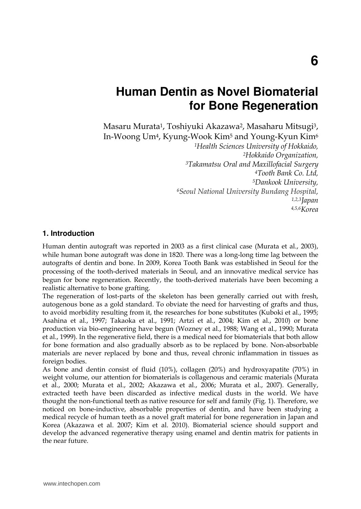# **Human Dentin as Novel Biomaterial for Bone Regeneration**

Masaru Murata1, Toshiyuki Akazawa2, Masaharu Mitsugi3, In-Woong Um4, Kyung-Wook Kim5 and Young-Kyun Kim<sup>6</sup>

> *Health Sciences University of Hokkaido, Hokkaido Organization, Takamatsu Oral and Maxillofacial Surgery Tooth Bank Co. Ltd, Dankook University, Seoul National University Bundang Hospital, 1,2,3Japan 4,5,6Korea*

## **1. Introduction**

Human dentin autograft was reported in 2003 as a first clinical case (Murata et al., 2003), while human bone autograft was done in 1820. There was a long-long time lag between the autografts of dentin and bone. In 2009, Korea Tooth Bank was established in Seoul for the processing of the tooth-derived materials in Seoul, and an innovative medical service has begun for bone regeneration. Recently, the tooth-derived materials have been becoming a realistic alternative to bone grafting.

The regeneration of lost-parts of the skeleton has been generally carried out with fresh, autogenous bone as a gold standard. To obviate the need for harvesting of grafts and thus, to avoid morbidity resulting from it, the researches for bone substitutes (Kuboki et al., 1995; Asahina et al., 1997; Takaoka et al., 1991; Artzi et al., 2004; Kim et al., 2010) or bone production via bio-engineering have begun (Wozney et al., 1988; Wang et al., 1990; Murata et al., 1999). In the regenerative field, there is a medical need for biomaterials that both allow for bone formation and also gradually absorb as to be replaced by bone. Non-absorbable materials are never replaced by bone and thus, reveal chronic inflammation in tissues as foreign bodies.

As bone and dentin consist of fluid (10%), collagen (20%) and hydroxyapatite (70%) in weight volume, our attention for biomaterials is collagenous and ceramic materials (Murata et al., 2000; Murata et al., 2002; Akazawa et al., 2006; Murata et al., 2007). Generally, extracted teeth have been discarded as infective medical dusts in the world. We have thought the non-functional teeth as native resource for self and family (Fig. 1). Therefore, we noticed on bone-inductive, absorbable properties of dentin, and have been studying a medical recycle of human teeth as a novel graft material for bone regeneration in Japan and Korea (Akazawa et al. 2007; Kim et al. 2010). Biomaterial science should support and develop the advanced regenerative therapy using enamel and dentin matrix for patients in the near future.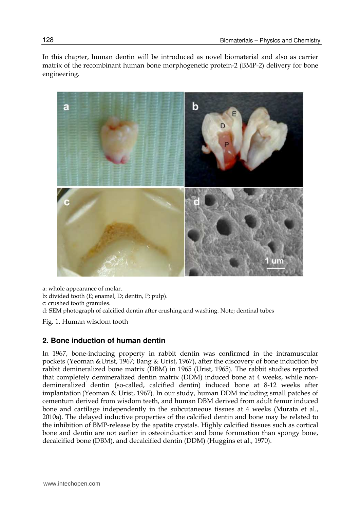In this chapter, human dentin will be introduced as novel biomaterial and also as carrier matrix of the recombinant human bone morphogenetic protein-2 (BMP-2) delivery for bone engineering.



a: whole appearance of molar.

b: divided tooth (E; enamel, D; dentin, P; pulp).

c: crushed tooth granules.

d: SEM photograph of calcified dentin after crushing and washing. Note; dentinal tubes

Fig. 1. Human wisdom tooth

## **2. Bone induction of human dentin**

In 1967, bone-inducing property in rabbit dentin was confirmed in the intramuscular pockets (Yeoman &Urist, 1967; Bang & Urist, 1967), after the discovery of bone induction by rabbit demineralized bone matrix (DBM) in 1965 (Urist, 1965). The rabbit studies reported that completely demineralized dentin matrix (DDM) induced bone at 4 weeks, while nondemineralized dentin (so-called, calcified dentin) induced bone at 8-12 weeks after implantation (Yeoman & Urist, 1967). In our study, human DDM including small patches of cementum derived from wisdom teeth, and human DBM derived from adult femur induced bone and cartilage independently in the subcutaneous tissues at 4 weeks (Murata et al., 2010a). The delayed inductive properties of the calcified dentin and bone may be related to the inhibition of BMP-release by the apatite crystals. Highly calcified tissues such as cortical bone and dentin are not earlier in osteoinduction and bone fornmation than spongy bone, decalcified bone (DBM), and decalcified dentin (DDM) (Huggins et al., 1970).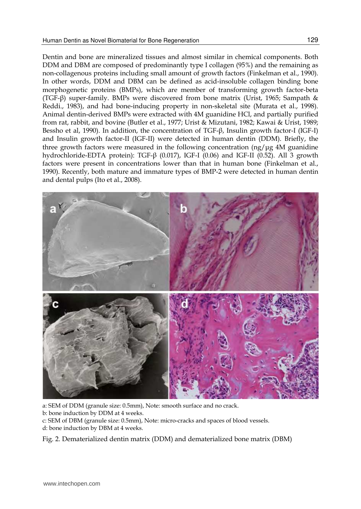Dentin and bone are mineralized tissues and almost similar in chemical components. Both DDM and DBM are composed of predominantly type I collagen (95%) and the remaining as non-collagenous proteins including small amount of growth factors (Finkelman et al., 1990). In other words, DDM and DBM can be defined as acid-insoluble collagen binding bone morphogenetic proteins (BMPs), which are member of transforming growth factor-beta (TGF-β) super-family. BMPs were discovered from bone matrix (Urist, 1965; Sampath & Reddi., 1983), and had bone-inducing property in non-skeletal site (Murata et al., 1998). Animal dentin-derived BMPs were extracted with 4M guanidine HCl, and partially purified from rat, rabbit, and bovine (Butler et al., 1977; Urist & Mizutani, 1982; Kawai & Urist, 1989; Bessho et al, 1990). In addition, the concentration of TGF-β, Insulin growth factor-I (IGF-I) and Insulin growth factor-II (IGF-II) were detected in human dentin (DDM). Briefly, the three growth factors were measured in the following concentration (ng/μg 4M guanidine hydrochloride-EDTA protein): TGF-β (0.017), IGF-I (0.06) and IGF-II (0.52). All 3 growth factors were present in concentrations lower than that in human bone (Finkelman et al., 1990). Recently, both mature and immature types of BMP-2 were detected in human dentin and dental pulps (Ito et al., 2008).



a: SEM of DDM (granule size: 0.5mm), Note: smooth surface and no crack.

b: bone induction by DDM at 4 weeks.

c: SEM of DBM (granule size: 0.5mm), Note: micro-cracks and spaces of blood vessels.

d: bone induction by DBM at 4 weeks.

Fig. 2. Dematerialized dentin matrix (DDM) and dematerialized bone matrix (DBM)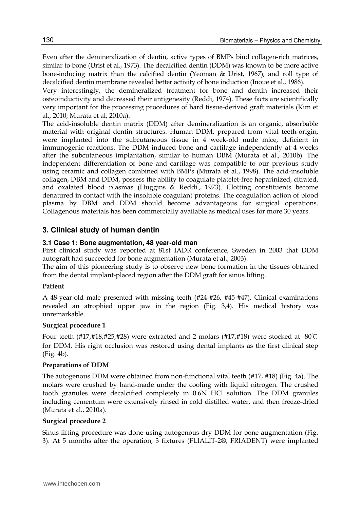Even after the demineralization of dentin, active types of BMPs bind collagen-rich matrices, similar to bone (Urist et al., 1973). The decalcified dentin (DDM) was known to be more active bone-inducing matrix than the calcified dentin (Yeoman & Urist, 1967), and roll type of decalcified dentin membrane revealed better activity of bone induction (Inoue et al., 1986).

Very interestingly, the demineralized treatment for bone and dentin increased their osteoinductivity and decreased their antigenesity (Reddi, 1974). These facts are scientifically very important for the processing procedures of hard tissue-derived graft materials (Kim et al., 2010; Murata et al, 2010a).

The acid-insoluble dentin matrix (DDM) after demineralization is an organic, absorbable material with original dentin structures. Human DDM, prepared from vital teeth-origin, were implanted into the subcutaneous tissue in 4 week-old nude mice, deficient in immunogenic reactions. The DDM induced bone and cartilage independently at 4 weeks after the subcutaneous implantation, similar to human DBM (Murata et al., 2010b). The independent differentiation of bone and cartilage was compatible to our previous study using ceramic and collagen combined with BMPs (Murata et al., 1998). The acid-insoluble collagen, DBM and DDM, possess the ability to coagulate platelet-free heparinized, citrated, and oxalated blood plasmas (Huggins & Reddi., 1973). Clotting constituents become denatured in contact with the insoluble coagulant proteins. The coagulation action of blood plasma by DBM and DDM should become advantageous for surgical operations. Collagenous materials has been commercially available as medical uses for more 30 years.

## **3. Clinical study of human dentin**

## **3.1 Case 1: Bone augmentation, 48 year-old man**

First clinical study was reported at 81st IADR conference, Sweden in 2003 that DDM autograft had succeeded for bone augmentation (Murata et al., 2003).

The aim of this pioneering study is to observe new bone formation in the tissues obtained from the dental implant-placed region after the DDM graft for sinus lifting.

## **Patient**

A 48-year-old male presented with missing teeth (#24-#26, #45-#47). Clinical examinations revealed an atrophied upper jaw in the region (Fig. 3,4). His medical history was unremarkable.

## **Surgical procedure 1**

Four teeth (#17,#18,#25,#28) were extracted and 2 molars (#17,#18) were stocked at -80℃ for DDM. His right occlusion was restored using dental implants as the first clinical step (Fig. 4b).

## **Preparations of DDM**

The autogenous DDM were obtained from non-functional vital teeth (#17, #18) (Fig. 4a). The molars were crushed by hand-made under the cooling with liquid nitrogen. The crushed tooth granules were decalcified completely in 0.6N HCl solution. The DDM granules including cementum were extensively rinsed in cold distilled water, and then freeze-dried (Murata et al., 2010a).

#### **Surgical procedure 2**

Sinus lifting procedure was done using autogenous dry DDM for bone augmentation (Fig. 3). At 5 months after the operation, 3 fixtures (FLIALIT-2®, FRIADENT) were implanted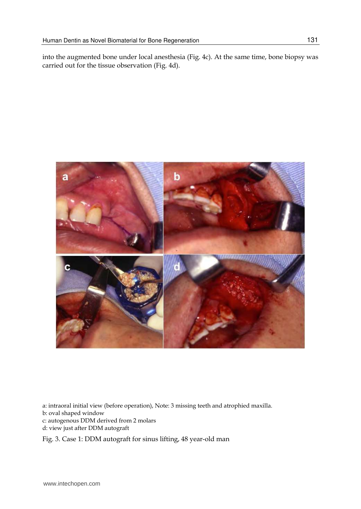into the augmented bone under local anesthesia (Fig. 4c). At the same time, bone biopsy was carried out for the tissue observation (Fig. 4d).



a: intraoral initial view (before operation), Note: 3 missing teeth and atrophied maxilla. b: oval shaped window c: autogenous DDM derived from 2 molars d: view just after DDM autograft

Fig. 3. Case 1: DDM autograft for sinus lifting, 48 year-old man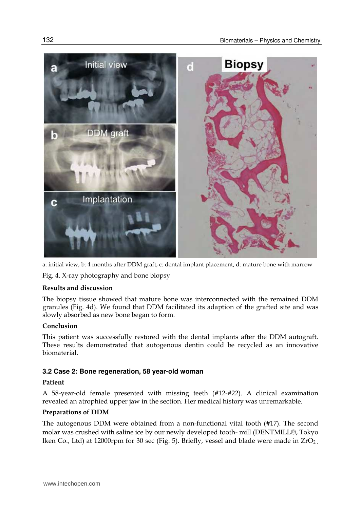

a: initial view, b: 4 months after DDM graft, c: dental implant placement, d: mature bone with marrow

Fig. 4. X-ray photography and bone biopsy

#### **Results and discussion**

The biopsy tissue showed that mature bone was interconnected with the remained DDM granules (Fig. 4d). We found that DDM facilitated its adaption of the grafted site and was slowly absorbed as new bone began to form.

#### **Conclusion**

This patient was successfully restored with the dental implants after the DDM autograft. These results demonstrated that autogenous dentin could be recycled as an innovative biomaterial.

#### **3.2 Case 2: Bone regeneration, 58 year-old woman**

#### **Patient**

A 58-year-old female presented with missing teeth (#12-#22). A clinical examination revealed an atrophied upper jaw in the section. Her medical history was unremarkable.

#### **Preparations of DDM**

The autogenous DDM were obtained from a non-functional vital tooth (#17). The second molar was crushed with saline ice by our newly developed tooth- mill (DENTMILL®, Tokyo Iken Co., Ltd) at 12000rpm for 30 sec (Fig. 5). Briefly, vessel and blade were made in  $ZrO<sub>2</sub>$ ,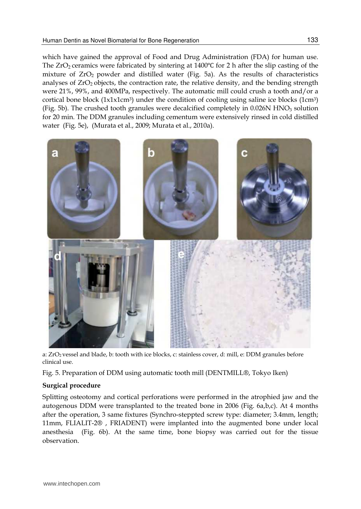which have gained the approval of Food and Drug Administration (FDA) for human use. The ZrO<sub>2</sub> ceramics were fabricated by sintering at 1400°C for 2 h after the slip casting of the mixture of  $ZrO<sub>2</sub>$  powder and distilled water (Fig. 5a). As the results of characteristics analyses of  $ZrO<sub>2</sub>$  objects, the contraction rate, the relative density, and the bending strength were 21%, 99%, and 400MPa, respectively. The automatic mill could crush a tooth and/or a cortical bone block  $(1x1x1cm<sup>3</sup>)$  under the condition of cooling using saline ice blocks  $(1cm<sup>3</sup>)$ (Fig. 5b). The crushed tooth granules were decalcified completely in  $0.026N$  HNO<sub>3</sub> solution for 20 min. The DDM granules including cementum were extensively rinsed in cold distilled water (Fig. 5e), (Murata et al., 2009; Murata et al., 2010a).



a: ZrO2 vessel and blade, b: tooth with ice blocks, c: stainless cover, d: mill, e: DDM granules before clinical use.

Fig. 5. Preparation of DDM using automatic tooth mill (DENTMILL®, Tokyo Iken)

## **Surgical procedure**

Splitting osteotomy and cortical perforations were performed in the atrophied jaw and the autogenous DDM were transplanted to the treated bone in 2006 (Fig. 6a,b,c). At 4 months after the operation, 3 same fixtures (Synchro-steppted screw type: diameter; 3.4mm, length; 11mm, FLIALIT-2® , FRIADENT) were implanted into the augmented bone under local anesthesia (Fig. 6b). At the same time, bone biopsy was carried out for the tissue observation.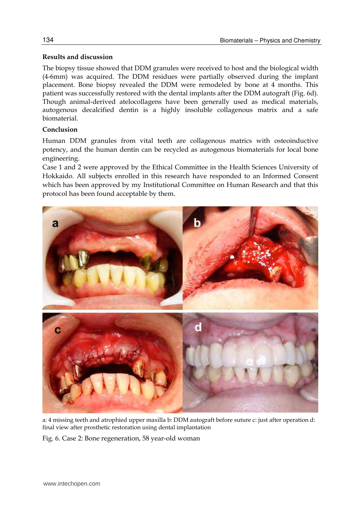## **Results and discussion**

The biopsy tissue showed that DDM granules were received to host and the biological width (4-6mm) was acquired. The DDM residues were partially observed during the implant placement. Bone biopsy revealed the DDM were remodeled by bone at 4 months. This patient was successfully restored with the dental implants after the DDM autograft (Fig. 6d). Though animal-derived atelocollagens have been generally used as medical materials, autogenous decalcified dentin is a highly insoluble collagenous matrix and a safe biomaterial.

## **Conclusion**

Human DDM granules from vital teeth are collagenous matrics with osteoinductive potency, and the human dentin can be recycled as autogenous biomaterials for local bone engineering.

Case 1 and 2 were approved by the Ethical Committee in the Health Sciences University of Hokkaido. All subjects enrolled in this research have responded to an Informed Consent which has been approved by my Institutional Committee on Human Research and that this protocol has been found acceptable by them.



a: 4 missing teeth and atrophied upper maxilla b: DDM autograft before suture c: just after operation d: final view after prosthetic restoration using dental implantation

Fig. 6. Case 2: Bone regeneration, 58 year-old woman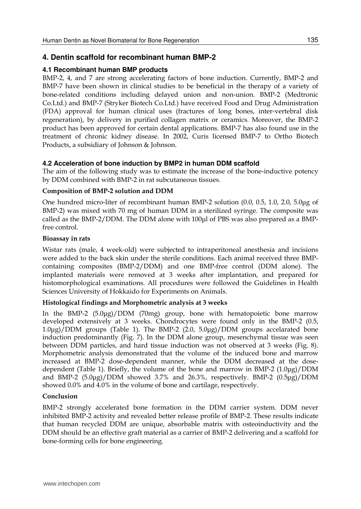## **4. Dentin scaffold for recombinant human BMP-2**

#### **4.1 Recombinant human BMP products**

BMP-2, 4, and 7 are strong accelerating factors of bone induction. Currently, BMP-2 and BMP-7 have been shown in clinical studies to be beneficial in the therapy of a variety of bone-related conditions including delayed union and non-union. BMP-2 (Medtronic Co.Ltd.) and BMP-7 (Stryker Biotech Co.Ltd.) have received Food and Drug Administration (FDA) approval for human clinical uses (fractures of long bones, inter-vertebral disk regeneration), by delivery in purified collagen matrix or ceramics. Moreover, the BMP-2 product has been approved for certain dental applications. BMP-7 has also found use in the treatment of chronic kidney disease. In 2002, Curis licensed BMP-7 to Ortho Biotech Products, a subsidiary of Johnson & Johnson.

#### **4.2 Acceleration of bone induction by BMP2 in human DDM scaffold**

The aim of the following study was to estimate the increase of the bone-inductive potency by DDM combined with BMP-2 in rat subcutaneous tissues.

#### **Composition of BMP-2 solution and DDM**

One hundred micro-liter of recombinant human BMP-2 solution (0.0, 0.5, 1.0, 2.0, 5.0μg of BMP-2) was mixed with 70 mg of human DDM in a sterilized syringe. The composite was called as the BMP-2/DDM. The DDM alone with 100μl of PBS was also prepared as a BMPfree control.

#### **Bioassay in rats**

Wistar rats (male, 4 week-old) were subjected to intraperitoneal anesthesia and incisions were added to the back skin under the sterile conditions. Each animal received three BMPcontaining composites (BMP-2/DDM) and one BMP-free control (DDM alone). The implanted materials were removed at 3 weeks after implantation, and prepared for histomorphological examinations. All procedures were followed the Guidelines in Health Sciences University of Hokkaido for Experiments on Animals.

## **Histological findings and Morphometric analysis at 3 weeks**

In the BMP-2 (5.0μg)/DDM (70mg) group, bone with hematopoietic bone marrow developed extensively at 3 weeks. Chondrocytes were found only in the BMP-2 (0.5,  $1.0\mu$ g)/DDM groups (Table 1). The BMP-2 (2.0, 5.0 $\mu$ g)/DDM groups accelarated bone induction predominantly (Fig. 7). In the DDM alone group, mesenchymal tissue was seen between DDM particles, and hard tissue induction was not observed at 3 weeks (Fig. 8). Morphometric analysis demonstrated that the volume of the induced bone and marrow increased at BMP-2 dose-dependent manner, while the DDM decreased at the dosedependent (Table 1). Briefly, the volume of the bone and marrow in BMP-2 (1.0μg)/DDM and BMP-2  $(5.0\mu$ g)/DDM showed 3.7% and 26.3%, respectively. BMP-2  $(0.5\mu$ g)/DDM showed 0.0% and 4.0% in the volume of bone and cartilage, respectively.

#### **Conclusion**

BMP-2 strongly accelerated bone formation in the DDM carrier system. DDM never inhibited BMP-2 activity and revealed better release profile of BMP-2. These results indicate that human recycled DDM are unique, absorbable matrix with osteoinductivity and the DDM should be an effective graft material as a carrier of BMP-2 delivering and a scaffold for bone-forming cells for bone engineering.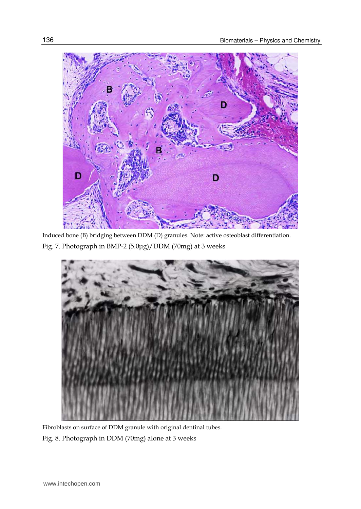

Induced bone (B) bridging between DDM (D) granules. Note: active osteoblast differentiation. Fig. 7. Photograph in BMP-2 (5.0μg)/DDM (70mg) at 3 weeks



Fibroblasts on surface of DDM granule with original dentinal tubes. Fig. 8. Photograph in DDM (70mg) alone at 3 weeks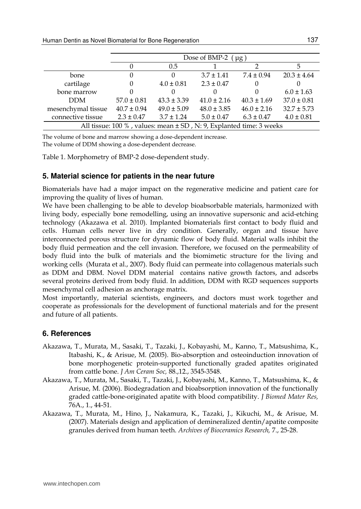|                                                                            | Dose of BMP-2 $(\mu g)$ |                 |                 |                 |                 |
|----------------------------------------------------------------------------|-------------------------|-----------------|-----------------|-----------------|-----------------|
|                                                                            |                         | 0.5             |                 |                 |                 |
| bone                                                                       |                         |                 | $3.7 \pm 1.41$  | $7.4 \pm 0.94$  | $20.3 \pm 4.64$ |
| cartilage                                                                  |                         | $4.0 \pm 0.81$  | $2.3 \pm 0.47$  | 0               |                 |
| bone marrow                                                                |                         |                 |                 |                 | $6.0 \pm 1.63$  |
| <b>DDM</b>                                                                 | $57.0 \pm 0.81$         | $43.3 \pm 3.39$ | $41.0 \pm 2.16$ | $40.3 \pm 1.69$ | $37.0 \pm 0.81$ |
| mesenchymal tissue                                                         | $40.7 \pm 0.94$         | $49.0 \pm 5.09$ | $48.0 \pm 3.85$ | $46.0 \pm 2.16$ | $32.7 \pm 5.73$ |
| connective tissue                                                          | $2.3 \pm 0.47$          | $3.7 \pm 1.24$  | $5.0 \pm 0.47$  | $6.3 \pm 0.47$  | $4.0 \pm 0.81$  |
| All tissue: $100\%$ , values: mean $\pm$ SD, N: 9, Explanted time: 3 weeks |                         |                 |                 |                 |                 |

The volume of bone and marrow showing a dose-dependent increase. The volume of DDM showing a dose-dependent decrease.

Table 1. Morphometry of BMP-2 dose-dependent study.

## **5. Material science for patients in the near future**

Biomaterials have had a major impact on the regenerative medicine and patient care for improving the quality of lives of human.

We have been challenging to be able to develop bioabsorbable materials, harmonized with living body, especially bone remodelling, using an innovative supersonic and acid-etching technology (Akazawa et al. 2010). Implanted biomaterials first contact to body fluid and cells. Human cells never live in dry condition. Generally, organ and tissue have interconnected porous structure for dynamic flow of body fluid. Material walls inhibit the body fluid permeation and the cell invasion. Therefore, we focused on the permeability of body fluid into the bulk of materials and the biomimetic structure for the living and working cells (Murata et al., 2007). Body fluid can permeate into collagenous materials such as DDM and DBM. Novel DDM material contains native growth factors, and adsorbs several proteins derived from body fluid. In addition, DDM with RGD sequences supports mesenchymal cell adhesion as anchorage matrix.

Most importantly, material scientists, engineers, and doctors must work together and cooperate as professionals for the development of functional materials and for the present and future of all patients.

## **6. References**

- Akazawa, T., Murata, M., Sasaki, T., Tazaki, J., Kobayashi, M., Kanno, T., Matsushima, K., Itabashi, K., & Arisue, M. (2005). Bio-absorption and osteoinduction innovation of bone morphogenetic protein-supported functionally graded apatites originated from cattle bone. *J Am Ceram Soc,* 88.,12., 3545-3548.
- Akazawa, T., Murata, M., Sasaki, T., Tazaki, J., Kobayashi, M., Kanno, T., Matsushima, K., & Arisue, M. (2006). Biodegradation and bioabsorption innovation of the functionally graded cattle-bone-originated apatite with blood compatibility. *J Biomed Mater Res,* 76A., 1., 44-51.
- Akazawa, T., Murata, M., Hino, J., Nakamura, K., Tazaki, J., Kikuchi, M., & Arisue, M. (2007). Materials design and application of demineralized dentin/apatite composite granules derived from human teeth. *Archives of Bioceramics Research,* 7., 25-28.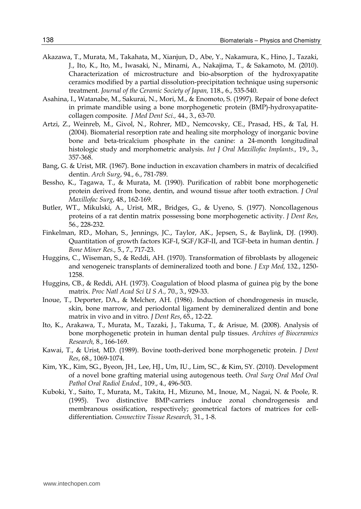- Akazawa, T., Murata, M., Takahata, M., Xianjun, D., Abe, Y., Nakamura, K., Hino, J., Tazaki, J., Ito, K., Ito, M., Iwasaki, N., Minami, A., Nakajima, T., & Sakamoto, M. (2010). Characterization of microstructure and bio-absorption of the hydroxyapatite ceramics modified by a partial dissolution-precipitation technique using supersonic treatment. *Journal of the Ceramic Society of Japan,* 118., 6., 535-540.
- Asahina, I., Watanabe, M., Sakurai, N., Mori, M., & Enomoto, S. (1997). Repair of bone defect in primate mandible using a bone morphogenetic protein (BMP)-hydroxyapatitecollagen composite. *J Med Dent Sci.,* 44., 3., 63-70.
- Artzi, Z., Weinreb, M., Givol, N., Rohrer, MD., Nemcovsky, CE., Prasad, HS., & Tal, H. (2004). Biomaterial resorption rate and healing site morphology of inorganic bovine bone and beta-tricalcium phosphate in the canine: a 24-month longitudinal histologic study and morphometric analysis. *Int J Oral Maxillofac Implants.,* 19., 3., 357-368.
- Bang, G. & Urist, MR. (1967). Bone induction in excavation chambers in matrix of decalcified dentin. *Arch Surg*, 94., 6., 781-789.
- Bessho, K., Tagawa, T., & Murata, M. (1990). Purification of rabbit bone morphogenetic protein derived from bone, dentin, and wound tissue after tooth extraction. *J Oral Maxillofac Surg*, 48., 162-169.
- Butler, WT., Mikulski, A., Urist, MR., Bridges, G., & Uyeno, S. (1977). Noncollagenous proteins of a rat dentin matrix possessing bone morphogenetic activity. *J Dent Res*, 56., 228-232.
- Finkelman, RD., Mohan, S., Jennings, JC., Taylor, AK., Jepsen, S., & Baylink, DJ. (1990). Quantitation of growth factors IGF-I, SGF/IGF-II, and TGF-beta in human dentin. *J Bone Miner Res.,* 5., 7., 717-23.
- Huggins, C., Wiseman, S., & Reddi, AH. (1970). Transformation of fibroblasts by allogeneic and xenogeneic transplants of demineralized tooth and bone. *J Exp Med,* 132., 1250- 1258.
- Huggins, CB., & Reddi, AH. (1973). Coagulation of blood plasma of guinea pig by the bone matrix. *Proc Natl Acad Sci U S A.,* 70., 3., 929-33.
- Inoue, T., Deporter, DA., & Melcher, AH. (1986). Induction of chondrogenesis in muscle, skin, bone marrow, and periodontal ligament by demineralized dentin and bone matrix in vivo and in vitro. *J Dent Res*, 65., 12-22.
- Ito, K., Arakawa, T., Murata, M., Tazaki, J., Takuma, T., & Arisue, M. (2008). Analysis of bone morphogenetic protein in human dental pulp tissues. *Archives of Bioceramics Research,* 8., 166-169.
- Kawai, T., & Urist*,* MD. (1989). Bovine tooth-derived bone morphogenetic protein. *J Dent Res*, 68., 1069-1074.
- Kim, YK., Kim, SG., Byeon, JH., Lee, HJ., Um, IU., Lim, SC., & Kim, SY. (2010). Development of a novel bone grafting material using autogenous teeth. *Oral Surg Oral Med Oral Pathol Oral Radiol Endod.,* 109., 4., 496-503.
- Kuboki, Y., Saito, T., Murata, M., Takita, H., Mizuno, M., Inoue, M., Nagai, N. & Poole, R. (1995). Two distinctive BMP-carriers induce zonal chondrogenesis and membranous ossification, respectively; geometrical factors of matrices for celldifferentiation. *Connective Tissue Research,* 31., 1-8.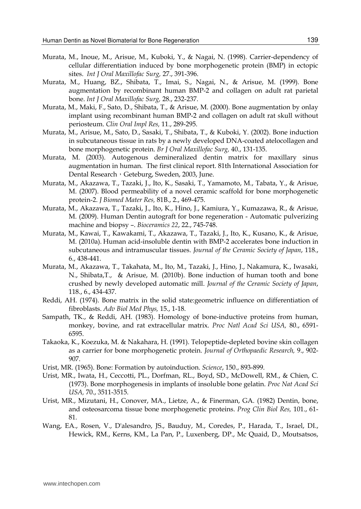- Murata, M., Inoue, M., Arisue, M., Kuboki, Y., & Nagai, N. (1998). Carrier-dependency of cellular differentiation induced by bone morphogenetic protein (BMP) in ectopic sites. *Int J Oral Maxillofac Surg,* 27., 391-396.
- Murata, M., Huang, BZ., Shibata, T., Imai, S., Nagai, N., & Arisue, M. (1999). Bone augmentation by recombinant human BMP-2 and collagen on adult rat parietal bone. *Int J Oral Maxillofac Surg,* 28., 232-237.
- Murata, M., Maki, F., Sato, D., Shibata, T., & Arisue, M. (2000). Bone augmentation by onlay implant using recombinant human BMP-2 and collagen on adult rat skull without periosteum. *Clin Oral Impl Res,* 11., 289-295.
- Murata, M., Arisue, M., Sato, D., Sasaki, T., Shibata, T., & Kuboki, Y. (2002). Bone induction in subcutaneous tissue in rats by a newly developed DNA-coated atelocollagen and bone morphogenetic protein. *Br J Oral Maxillofac Surg,* 40., 131-135.
- Murata, M. (2003). Autogenous demineralized dentin matrix for maxillary sinus augmentation in human. The first clinical report. 81th International Association for Dental Research, Geteburg, Sweden, 2003, June.
- Murata, M., Akazawa, T., Tazaki, J., Ito, K., Sasaki, T., Yamamoto, M., Tabata, Y., & Arisue, M. (2007). Blood permeability of a novel ceramic scaffold for bone morphogenetic protein-2. *J Biomed Mater Res,* 81B., 2., 469-475.
- Murata, M., Akazawa, T., Tazaki, J., Ito, K., Hino, J., Kamiura, Y., Kumazawa, R., & Arisue, M. (2009). Human Dentin autograft for bone regeneration - Automatic pulverizing machine and biopsy –. *Bioceramics 22*, 22., 745-748.
- Murata, M., Kawai, T., Kawakami, T., Akazawa, T., Tazaki, J., Ito, K., Kusano, K., & Arisue, M. (2010a). Human acid-insoluble dentin with BMP-2 accelerates bone induction in subcutaneous and intramuscular tissues. *Journal of the Ceramic Society of Japan*, 118., 6., 438-441.
- Murata, M., Akazawa, T., Takahata, M., Ito, M., Tazaki, J., Hino, J., Nakamura, K., Iwasaki, N., Shibata,T., & Arisue, M. (2010b). Bone induction of human tooth and bone crushed by newly developed automatic mill. *Journal of the Ceramic Society of Japan*, 118., 6., 434-437.
- Reddi, AH. (1974). Bone matrix in the solid state:geometric influence on differentiation of fibroblasts. *Adv Biol Med Phys,* 15., 1-18.
- Sampath, TK., & Reddi, AH. (1983). Homology of bone-inductive proteins from human, monkey, bovine, and rat extracellular matrix. *Proc Natl Acad Sci USA,* 80., 6591- 6595.
- Takaoka, K., Koezuka, M. & Nakahara, H. (1991). Telopeptide-depleted bovine skin collagen as a carrier for bone morphogenetic protein. *Journal of Orthopaedic Research,* 9., 902- 907.
- Urist, MR. (1965). Bone: Formation by autoinduction. *Science*, 150., 893-899.
- Urist, MR., Iwata, H., Ceccotti, PL., Dorfman, RL., Boyd, SD., McDowell, RM., & Chien, C. (1973). Bone morphogenesis in implants of insoluble bone gelatin. *Proc Nat Acad Sci USA,* 70., 3511-3515.
- Urist, MR., Mizutani, H., Conover, MA., Lietze, A., & Finerman, GA. (1982) Dentin, bone, and osteosarcoma tissue bone morphogenetic proteins. *Prog Clin Biol Res,* 101., 61- 81.
- Wang, EA., Rosen, V., D'alesandro, JS., Bauduy, M., Coredes, P., Harada, T., Israel, DI., Hewick, RM., Kerns, KM., La Pan, P., Luxenberg, DP., Mc Quaid, D., Moutsatsos,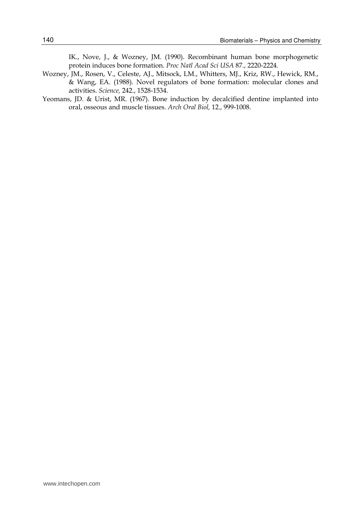IK., Nove, J., & Wozney, JM. (1990). Recombinant human bone morphogenetic protein induces bone formation. *Proc Natl Acad Sci USA* 87., 2220-2224.

- Wozney, JM., Rosen, V., Celeste, AJ., Mitsock, LM., Whitters, MJ., Kriz, RW., Hewick, RM., & Wang, EA. (1988). Novel regulators of bone formation: molecular clones and activities. *Science,* 242., 1528-1534.
- Yeomans, JD. & Urist, MR. (1967). Bone induction by decalcified dentine implanted into oral, osseous and muscle tissues. *Arch Oral Biol,* 12., 999-1008.